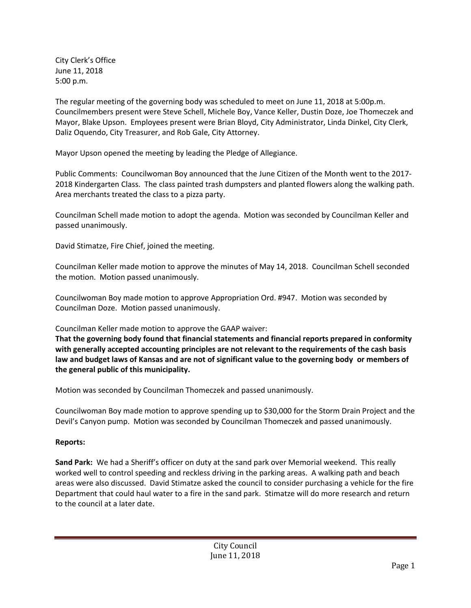City Clerk's Office June 11, 2018 5:00 p.m.

The regular meeting of the governing body was scheduled to meet on June 11, 2018 at 5:00p.m. Councilmembers present were Steve Schell, Michele Boy, Vance Keller, Dustin Doze, Joe Thomeczek and Mayor, Blake Upson. Employees present were Brian Bloyd, City Administrator, Linda Dinkel, City Clerk, Daliz Oquendo, City Treasurer, and Rob Gale, City Attorney.

Mayor Upson opened the meeting by leading the Pledge of Allegiance.

Public Comments: Councilwoman Boy announced that the June Citizen of the Month went to the 2017- 2018 Kindergarten Class. The class painted trash dumpsters and planted flowers along the walking path. Area merchants treated the class to a pizza party.

Councilman Schell made motion to adopt the agenda. Motion was seconded by Councilman Keller and passed unanimously.

David Stimatze, Fire Chief, joined the meeting.

Councilman Keller made motion to approve the minutes of May 14, 2018. Councilman Schell seconded the motion. Motion passed unanimously.

Councilwoman Boy made motion to approve Appropriation Ord. #947. Motion was seconded by Councilman Doze. Motion passed unanimously.

Councilman Keller made motion to approve the GAAP waiver:

**That the governing body found that financial statements and financial reports prepared in conformity with generally accepted accounting principles are not relevant to the requirements of the cash basis law and budget laws of Kansas and are not of significant value to the governing body or members of the general public of this municipality.**

Motion was seconded by Councilman Thomeczek and passed unanimously.

Councilwoman Boy made motion to approve spending up to \$30,000 for the Storm Drain Project and the Devil's Canyon pump. Motion was seconded by Councilman Thomeczek and passed unanimously.

## **Reports:**

**Sand Park:** We had a Sheriff's officer on duty at the sand park over Memorial weekend. This really worked well to control speeding and reckless driving in the parking areas. A walking path and beach areas were also discussed. David Stimatze asked the council to consider purchasing a vehicle for the fire Department that could haul water to a fire in the sand park. Stimatze will do more research and return to the council at a later date.

> City Council June 11, 2018